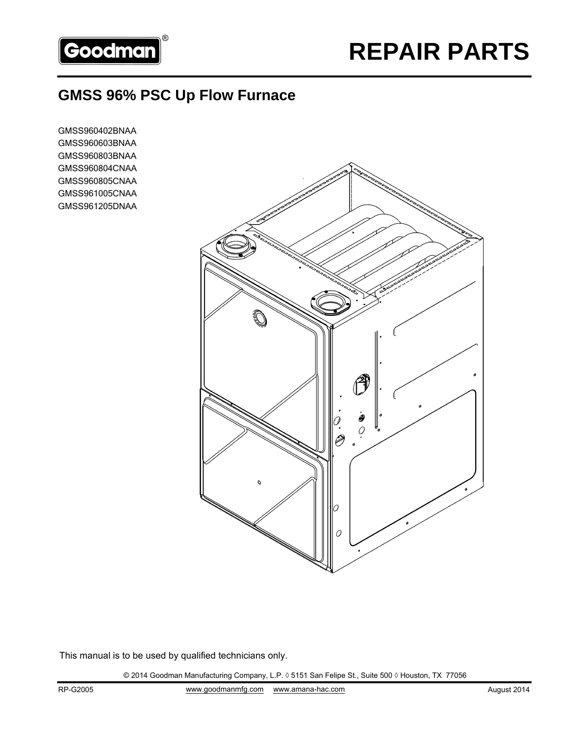

# **GMSS 96% PSC Up Flow Furnace**

GMSS960402BNAA GMSS960603BNAA GMSS960803BNAA GMSS960804CNAA GMSS960805CNAA GMSS961005CNAA GMSS961205DNAA



This manual is to be used by qualified technicians only.

© 2014 Goodman Manufacturing Company, L.P. ◊ 5151 San Felipe St., Suite 500 ◊ Houston, TX 77056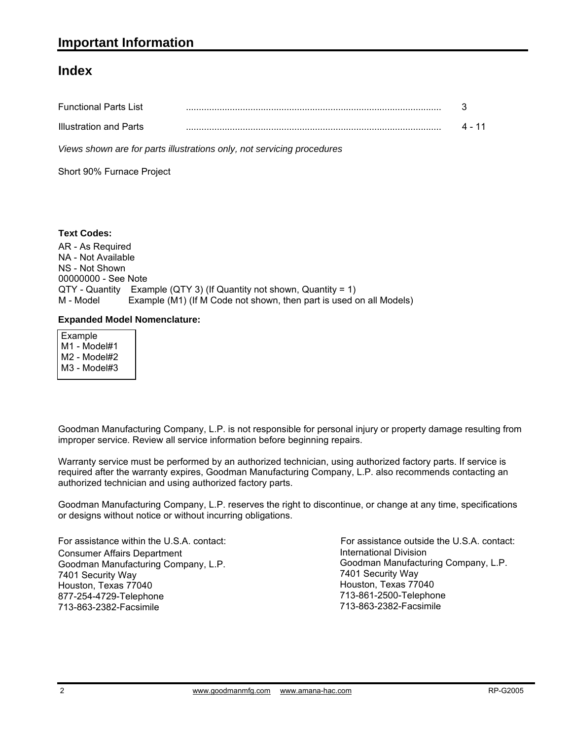#### **Index**

| <b>Functional Parts List</b> |  |
|------------------------------|--|
| Illustration and Parts       |  |

*Views shown are for parts illustrations only, not servicing procedures*

Short 90% Furnace Project

#### **Text Codes:**

AR - As Required NA - Not Available NS - Not Shown 00000000 - See Note QTY - Quantity Example (QTY 3) (If Quantity not shown, Quantity = 1) M - Model Example (M1) (If M Code not shown, then part is used on all Models)

#### **Expanded Model Nomenclature:**

 Example M1 - Model#1 M2 - Model#2 M3 - Model#3

Goodman Manufacturing Company, L.P. is not responsible for personal injury or property damage resulting from improper service. Review all service information before beginning repairs.

Warranty service must be performed by an authorized technician, using authorized factory parts. If service is required after the warranty expires, Goodman Manufacturing Company, L.P. also recommends contacting an authorized technician and using authorized factory parts.

Goodman Manufacturing Company, L.P. reserves the right to discontinue, or change at any time, specifications or designs without notice or without incurring obligations.

For assistance within the U.S.A. contact: Consumer Affairs Department Goodman Manufacturing Company, L.P. 7401 Security Way Houston, Texas 77040 877-254-4729-Telephone 713-863-2382-Facsimile

International Division International Division<br>Goodman Manufacturing Company, L.P. 7401 Security Way Houston, Texas 77040 713-861-2500-Telephone 713-863-2382-Facsimile For assistance outside the U.S.A. contact: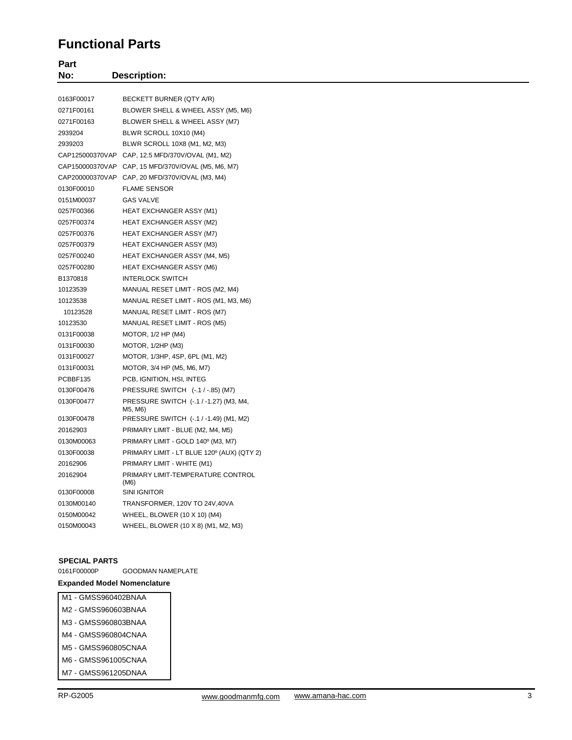#### **Functional Parts**

| Part<br>No: | <b>Description:</b>                                |
|-------------|----------------------------------------------------|
| 0163F00017  | BECKETT BURNER (QTY A/R)                           |
| 0271F00161  | BLOWER SHELL & WHEEL ASSY (M5, M6)                 |
| 0271F00163  |                                                    |
|             | BLOWER SHELL & WHEEL ASSY (M7)                     |
| 2939204     | BLWR SCROLL 10X10 (M4)                             |
| 2939203     | BLWR SCROLL 10X8 (M1, M2, M3)                      |
|             | CAP125000370VAP CAP, 12.5 MFD/370V/OVAL (M1, M2)   |
|             | CAP150000370VAP CAP, 15 MFD/370V/OVAL (M5, M6, M7) |
|             | CAP200000370VAP CAP, 20 MFD/370V/OVAL (M3, M4)     |
| 0130F00010  | <b>FLAME SENSOR</b>                                |
| 0151M00037  | <b>GAS VALVE</b>                                   |
| 0257F00366  | HEAT EXCHANGER ASSY (M1)                           |
| 0257F00374  | <b>HEAT EXCHANGER ASSY (M2)</b>                    |
| 0257F00376  | <b>HEAT EXCHANGER ASSY (M7)</b>                    |
| 0257F00379  | <b>HEAT EXCHANGER ASSY (M3)</b>                    |
| 0257F00240  | <b>HEAT EXCHANGER ASSY (M4, M5)</b>                |
| 0257F00280  | <b>HEAT EXCHANGER ASSY (M6)</b>                    |
| B1370818    | <b>INTERLOCK SWITCH</b>                            |
| 10123539    | MANUAL RESET LIMIT - ROS (M2, M4)                  |
| 10123538    | MANUAL RESET LIMIT - ROS (M1, M3, M6)              |
| 10123528    | MANUAL RESET LIMIT - ROS (M7)                      |
| 10123530    | MANUAL RESET LIMIT - ROS (M5)                      |
| 0131F00038  | MOTOR, 1/2 HP (M4)                                 |
| 0131F00030  | MOTOR, 1/2HP (M3)                                  |
| 0131F00027  | MOTOR, 1/3HP, 4SP, 6PL (M1, M2)                    |
| 0131F00031  | MOTOR, 3/4 HP (M5, M6, M7)                         |
| PCBBF135    | PCB, IGNITION, HSI, INTEG                          |
| 0130F00476  | PRESSURE SWITCH (-.1 / -.85) (M7)                  |
| 0130F00477  | PRESSURE SWITCH (-.1 / -1.27) (M3, M4,<br>M5, M6)  |
| 0130F00478  | PRESSURE SWITCH (-.1 / -1.49) (M1, M2)             |
| 20162903    | PRIMARY LIMIT - BLUE (M2, M4, M5)                  |
| 0130M00063  | PRIMARY LIMIT - GOLD 140° (M3, M7)                 |
| 0130F00038  | PRIMARY LIMIT - LT BLUE 120° (AUX) (QTY 2)         |
| 20162906    | PRIMARY LIMIT - WHITE (M1)                         |
| 20162904    | PRIMARY LIMIT-TEMPERATURE CONTROL<br>(M6)          |
| 0130F00008  | <b>SINI IGNITOR</b>                                |
| 0130M00140  | TRANSFORMER, 120V TO 24V,40VA                      |
| 0150M00042  | WHEEL, BLOWER (10 X 10) (M4)                       |
| 0150M00043  | WHEEL, BLOWER (10 X 8) (M1, M2, M3)                |
|             |                                                    |

**SPECIAL PARTS** GOODMAN NAMEPLATE

#### **Expanded Model Nomenclature**

- M1 GMSS960402BNAA M2 - GMSS960603BNAA M3 - GMSS960803BNAA M4 - GMSS960804CNAA M5 - GMSS960805CNAA
- M6 GMSS961005CNAA M7 - GMSS961205DNAA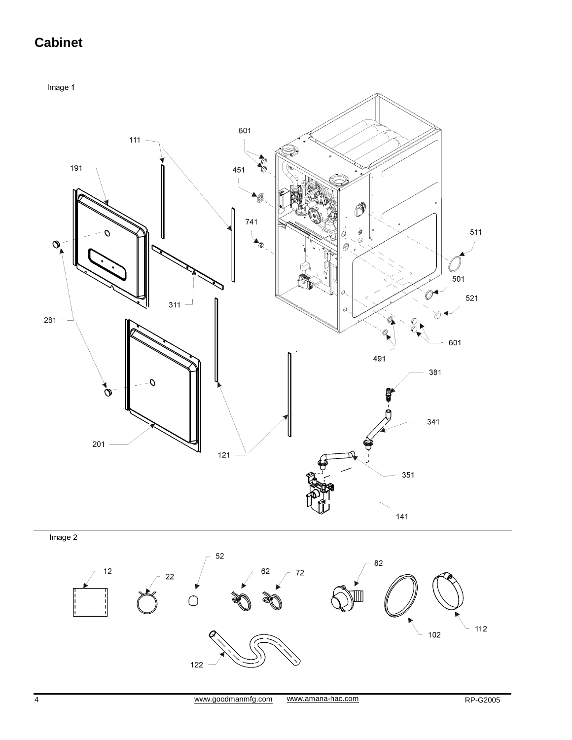# **Cabinet**

Image 1



122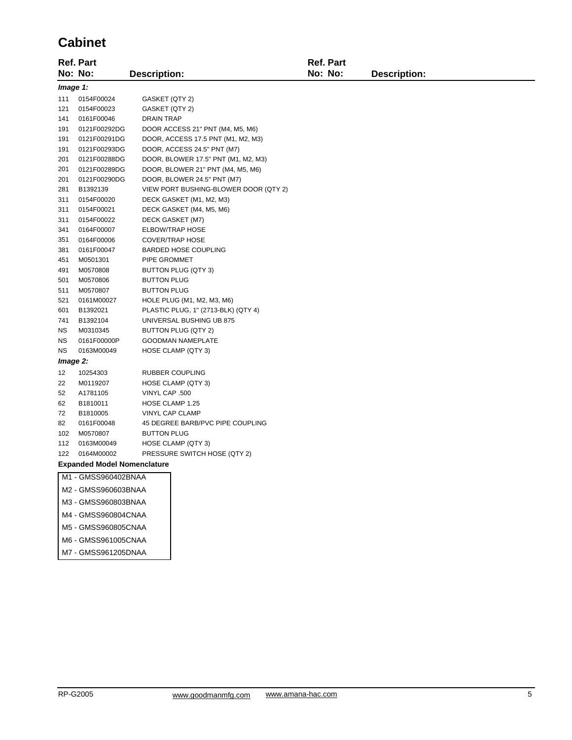## **Cabinet**

|                                                   | Ref. Part           |                             |                                       | Ref. Part |                     |  |
|---------------------------------------------------|---------------------|-----------------------------|---------------------------------------|-----------|---------------------|--|
|                                                   | No: No:             | <b>Description:</b>         |                                       | No: No:   | <b>Description:</b> |  |
| Image 1:                                          |                     |                             |                                       |           |                     |  |
| 111                                               | 0154F00024          | GASKET (QTY 2)              |                                       |           |                     |  |
| 121                                               | 0154F00023          | GASKET (QTY 2)              |                                       |           |                     |  |
| 141                                               | 0161F00046          | <b>DRAIN TRAP</b>           |                                       |           |                     |  |
| 191                                               | 0121F00292DG        |                             | DOOR ACCESS 21" PNT (M4, M5, M6)      |           |                     |  |
| 191                                               | 0121F00291DG        |                             | DOOR, ACCESS 17.5 PNT (M1, M2, M3)    |           |                     |  |
| 191                                               | 0121F00293DG        |                             | DOOR, ACCESS 24.5" PNT (M7)           |           |                     |  |
| 201                                               | 0121F00288DG        |                             | DOOR, BLOWER 17.5" PNT (M1, M2, M3)   |           |                     |  |
| 201                                               | 0121F00289DG        |                             | DOOR, BLOWER 21" PNT (M4, M5, M6)     |           |                     |  |
| 201                                               | 0121F00290DG        |                             | DOOR, BLOWER 24.5" PNT (M7)           |           |                     |  |
| 281                                               | B1392139            |                             | VIEW PORT BUSHING-BLOWER DOOR (QTY 2) |           |                     |  |
| 311                                               | 0154F00020          | DECK GASKET (M1, M2, M3)    |                                       |           |                     |  |
| 311                                               | 0154F00021          | DECK GASKET (M4, M5, M6)    |                                       |           |                     |  |
| 311                                               | 0154F00022          | DECK GASKET (M7)            |                                       |           |                     |  |
| 341                                               | 0164F00007          | <b>ELBOW/TRAP HOSE</b>      |                                       |           |                     |  |
| 351                                               | 0164F00006          | <b>COVER/TRAP HOSE</b>      |                                       |           |                     |  |
| 381                                               | 0161F00047          | <b>BARDED HOSE COUPLING</b> |                                       |           |                     |  |
| 451                                               | M0501301            | PIPE GROMMET                |                                       |           |                     |  |
| 491                                               | M0570808            | BUTTON PLUG (QTY 3)         |                                       |           |                     |  |
| 501                                               | M0570806            | <b>BUTTON PLUG</b>          |                                       |           |                     |  |
| 511                                               | M0570807            | <b>BUTTON PLUG</b>          |                                       |           |                     |  |
| 521                                               | 0161M00027          |                             | HOLE PLUG (M1, M2, M3, M6)            |           |                     |  |
| 601                                               | B1392021            |                             | PLASTIC PLUG, 1" (2713-BLK) (QTY 4)   |           |                     |  |
| 741                                               | B1392104            |                             | UNIVERSAL BUSHING UB 875              |           |                     |  |
| ΝS                                                | M0310345            | BUTTON PLUG (QTY 2)         |                                       |           |                     |  |
| ΝS                                                | 0161F00000P         | <b>GOODMAN NAMEPLATE</b>    |                                       |           |                     |  |
| <b>NS</b>                                         | 0163M00049          | HOSE CLAMP (QTY 3)          |                                       |           |                     |  |
| Image 2:                                          |                     |                             |                                       |           |                     |  |
| 12                                                | 10254303            | RUBBER COUPLING             |                                       |           |                     |  |
| 22                                                | M0119207            | HOSE CLAMP (QTY 3)          |                                       |           |                     |  |
| 52                                                | A1781105            | VINYL CAP .500              |                                       |           |                     |  |
| 62                                                | B1810011            | HOSE CLAMP 1.25             |                                       |           |                     |  |
| 72                                                | B1810005            | VINYL CAP CLAMP             |                                       |           |                     |  |
| 82                                                | 0161F00048          |                             | 45 DEGREE BARB/PVC PIPE COUPLING      |           |                     |  |
| 102                                               | M0570807            | <b>BUTTON PLUG</b>          |                                       |           |                     |  |
| 112                                               | 0163M00049          | HOSE CLAMP (QTY 3)          |                                       |           |                     |  |
| 122<br>0164M00002<br>PRESSURE SWITCH HOSE (QTY 2) |                     |                             |                                       |           |                     |  |
| <b>Expanded Model Nomenclature</b>                |                     |                             |                                       |           |                     |  |
| M1 - GMSS960402BNAA                               |                     |                             |                                       |           |                     |  |
|                                                   | M2 - GMSS960603BNAA |                             |                                       |           |                     |  |
|                                                   | M3 - GMSS960803BNAA |                             |                                       |           |                     |  |
|                                                   | M4 - GMSS960804CNAA |                             |                                       |           |                     |  |
|                                                   | M5 - GMSS960805CNAA |                             |                                       |           |                     |  |

- M6 GMSS961005CNAA
- M7 GMSS961205DNAA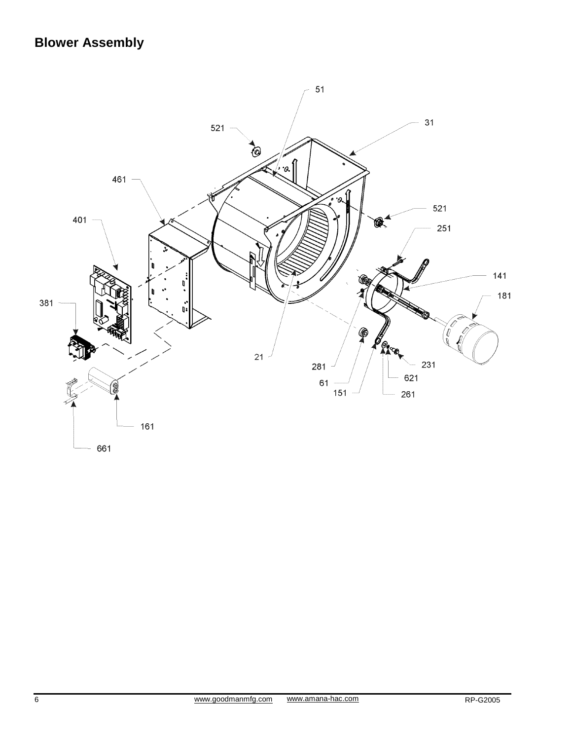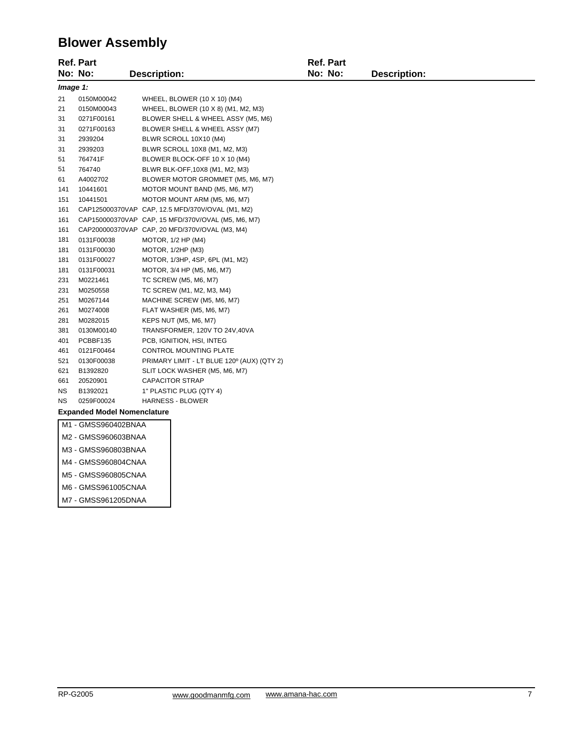## **Blower Assembly**

| <b>Ref. Part</b>                   |                     |                     |                                                    | <b>Ref. Part</b> |              |
|------------------------------------|---------------------|---------------------|----------------------------------------------------|------------------|--------------|
|                                    | No: No:             | <b>Description:</b> |                                                    | No: No:          | Description: |
|                                    | Image 1:            |                     |                                                    |                  |              |
| 21                                 | 0150M00042          |                     | WHEEL, BLOWER (10 X 10) (M4)                       |                  |              |
| 21                                 | 0150M00043          |                     | WHEEL, BLOWER (10 X 8) (M1, M2, M3)                |                  |              |
| 31                                 | 0271F00161          |                     | BLOWER SHELL & WHEEL ASSY (M5, M6)                 |                  |              |
| 31                                 | 0271F00163          |                     | BLOWER SHELL & WHEEL ASSY (M7)                     |                  |              |
| 31                                 | 2939204             |                     | BLWR SCROLL 10X10 (M4)                             |                  |              |
| 31                                 | 2939203             |                     | BLWR SCROLL 10X8 (M1, M2, M3)                      |                  |              |
| 51                                 | 764741F             |                     | BLOWER BLOCK-OFF 10 X 10 (M4)                      |                  |              |
| 51                                 | 764740              |                     | BLWR BLK-OFF, 10X8 (M1, M2, M3)                    |                  |              |
| 61                                 | A4002702            |                     | BLOWER MOTOR GROMMET (M5, M6, M7)                  |                  |              |
| 141                                | 10441601            |                     | MOTOR MOUNT BAND (M5, M6, M7)                      |                  |              |
| 151                                | 10441501            |                     | MOTOR MOUNT ARM (M5, M6, M7)                       |                  |              |
| 161                                |                     |                     | CAP125000370VAP CAP, 12.5 MFD/370V/OVAL (M1, M2)   |                  |              |
| 161                                |                     |                     | CAP150000370VAP CAP, 15 MFD/370V/OVAL (M5, M6, M7) |                  |              |
| 161                                |                     |                     | CAP200000370VAP CAP, 20 MFD/370V/OVAL (M3, M4)     |                  |              |
| 181                                | 0131F00038          |                     | MOTOR, 1/2 HP (M4)                                 |                  |              |
| 181                                | 0131F00030          |                     | MOTOR, 1/2HP (M3)                                  |                  |              |
| 181                                | 0131F00027          |                     | MOTOR, 1/3HP, 4SP, 6PL (M1, M2)                    |                  |              |
| 181                                | 0131F00031          |                     | MOTOR, 3/4 HP (M5, M6, M7)                         |                  |              |
| 231                                | M0221461            |                     | TC SCREW (M5, M6, M7)                              |                  |              |
| 231                                | M0250558            |                     | TC SCREW (M1, M2, M3, M4)                          |                  |              |
| 251                                | M0267144            |                     | MACHINE SCREW (M5, M6, M7)                         |                  |              |
| 261                                | M0274008            |                     | FLAT WASHER (M5, M6, M7)                           |                  |              |
| 281                                | M0282015            |                     | KEPS NUT (M5, M6, M7)                              |                  |              |
| 381                                | 0130M00140          |                     | TRANSFORMER, 120V TO 24V,40VA                      |                  |              |
| 401                                | PCBBF135            |                     | PCB, IGNITION, HSI, INTEG                          |                  |              |
| 461                                | 0121F00464          |                     | CONTROL MOUNTING PLATE                             |                  |              |
| 521                                | 0130F00038          |                     | PRIMARY LIMIT - LT BLUE 120° (AUX) (QTY 2)         |                  |              |
| 621                                | B1392820            |                     | SLIT LOCK WASHER (M5, M6, M7)                      |                  |              |
| 661                                | 20520901            |                     | <b>CAPACITOR STRAP</b>                             |                  |              |
| <b>NS</b>                          | B1392021            |                     | 1" PLASTIC PLUG (QTY 4)                            |                  |              |
| <b>NS</b>                          | 0259F00024          |                     | <b>HARNESS - BLOWER</b>                            |                  |              |
| <b>Expanded Model Nomenclature</b> |                     |                     |                                                    |                  |              |
|                                    | M1 - GMSS960402BNAA |                     |                                                    |                  |              |
|                                    | M2 - GMSS960603BNAA |                     |                                                    |                  |              |
| M3 - GMSS960803BNAA                |                     |                     |                                                    |                  |              |
|                                    | M4 - GMSS960804CNAA |                     |                                                    |                  |              |

- M5 GMSS960805CNAA
- M6 GMSS961005CNAA
- M7 GMSS961205DNAA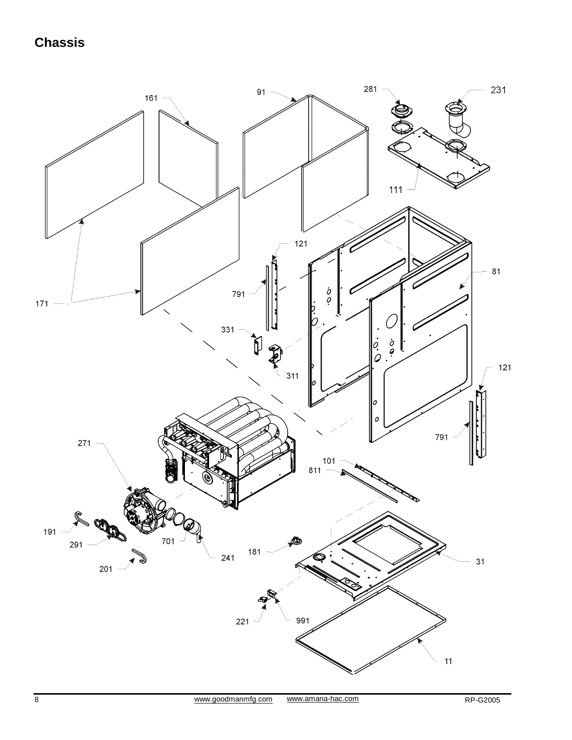# **Chassis**

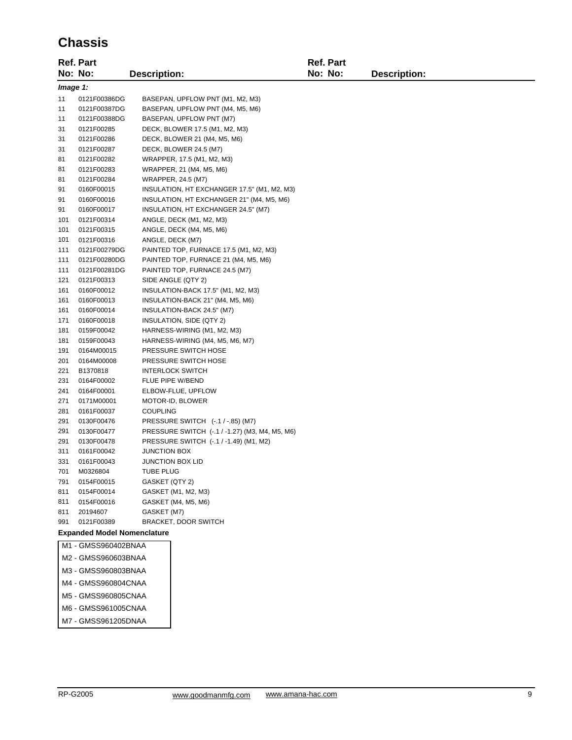## **Chassis**

| No: No:<br>No: No:<br><b>Description:</b><br><b>Description:</b><br>Image 1:<br>11<br>0121F00386DG<br>BASEPAN, UPFLOW PNT (M1, M2, M3)<br>11<br>0121F00387DG<br>BASEPAN, UPFLOW PNT (M4, M5, M6)<br>11<br>0121F00388DG<br>BASEPAN, UPFLOW PNT (M7)<br>31<br>0121F00285<br>DECK, BLOWER 17.5 (M1, M2, M3)<br>0121F00286<br>31<br>DECK, BLOWER 21 (M4, M5, M6)<br>31<br>0121F00287<br>DECK, BLOWER 24.5 (M7)<br>81<br>0121F00282<br>WRAPPER, 17.5 (M1, M2, M3)<br>81<br>0121F00283<br>WRAPPER, 21 (M4, M5, M6)<br>81<br>0121F00284<br>WRAPPER, 24.5 (M7)<br>91<br>0160F00015<br>INSULATION, HT EXCHANGER 17.5" (M1, M2, M3)<br>91<br>0160F00016<br>INSULATION, HT EXCHANGER 21" (M4, M5, M6)<br>91<br>0160F00017<br>INSULATION, HT EXCHANGER 24.5" (M7)<br>101<br>0121F00314<br>ANGLE, DECK (M1, M2, M3)<br>101<br>0121F00315<br>ANGLE, DECK (M4, M5, M6)<br>101<br>0121F00316<br>ANGLE, DECK (M7)<br>111<br>0121F00279DG<br>PAINTED TOP, FURNACE 17.5 (M1, M2, M3)<br>111<br>0121F00280DG<br>PAINTED TOP, FURNACE 21 (M4, M5, M6)<br>111<br>0121F00281DG<br>PAINTED TOP, FURNACE 24.5 (M7)<br>121<br>0121F00313<br>SIDE ANGLE (QTY 2)<br>161<br>0160F00012<br>INSULATION-BACK 17.5" (M1, M2, M3)<br>161<br>0160F00013<br>INSULATION-BACK 21" (M4, M5, M6)<br>161<br>0160F00014<br>INSULATION-BACK 24.5" (M7)<br>171<br>0160F00018<br>INSULATION, SIDE (QTY 2)<br>181<br>0159F00042<br>HARNESS-WIRING (M1, M2, M3)<br>181<br>0159F00043<br>HARNESS-WIRING (M4, M5, M6, M7)<br>191<br>PRESSURE SWITCH HOSE<br>0164M00015<br>201<br>0164M00008<br>PRESSURE SWITCH HOSE<br>221<br>B1370818<br><b>INTERLOCK SWITCH</b><br>231<br>0164F00002<br>FLUE PIPE W/BEND<br>ELBOW-FLUE, UPFLOW<br>241<br>0164F00001<br>271<br>0171M00001<br>MOTOR-ID, BLOWER<br>281<br>0161F00037<br><b>COUPLING</b><br>291<br>0130F00476<br>PRESSURE SWITCH (-.1 / -.85) (M7)<br>291<br>0130F00477<br>PRESSURE SWITCH (-.1 / -1.27) (M3, M4, M5, M6)<br>291<br>0130F00478<br>PRESSURE SWITCH (-.1 / -1.49) (M1, M2)<br>311<br>0161F00042<br><b>JUNCTION BOX</b><br>331<br>0161F00043<br><b>JUNCTION BOX LID</b><br>701<br><b>TUBE PLUG</b><br>M0326804<br>791<br>0154F00015<br>GASKET (QTY 2)<br>0154F00014<br>GASKET (M1, M2, M3)<br>811<br>0154F00016<br>GASKET (M4, M5, M6)<br>811<br>811<br>20194607<br>GASKET (M7)<br>991<br>BRACKET, DOOR SWITCH<br>0121F00389<br><b>Expanded Model Nomenclature</b><br>M1 - GMSS960402BNAA<br>M2 - GMSS960603BNAA<br>M3 - GMSS960803BNAA<br>M4 - GMSS960804CNAA<br>M5 - GMSS960805CNAA<br>M6 - GMSS961005CNAA<br>M7 - GMSS961205DNAA |  | <b>Ref. Part</b> |  |  | <b>Ref. Part</b> |  |  |
|-----------------------------------------------------------------------------------------------------------------------------------------------------------------------------------------------------------------------------------------------------------------------------------------------------------------------------------------------------------------------------------------------------------------------------------------------------------------------------------------------------------------------------------------------------------------------------------------------------------------------------------------------------------------------------------------------------------------------------------------------------------------------------------------------------------------------------------------------------------------------------------------------------------------------------------------------------------------------------------------------------------------------------------------------------------------------------------------------------------------------------------------------------------------------------------------------------------------------------------------------------------------------------------------------------------------------------------------------------------------------------------------------------------------------------------------------------------------------------------------------------------------------------------------------------------------------------------------------------------------------------------------------------------------------------------------------------------------------------------------------------------------------------------------------------------------------------------------------------------------------------------------------------------------------------------------------------------------------------------------------------------------------------------------------------------------------------------------------------------------------------------------------------------------------------------------------------------------------------------------------------------------------------------------------------------------------------------------------------------------------------------------------------------------------------------------------------------------------------------------------------------------------------------------------|--|------------------|--|--|------------------|--|--|
|                                                                                                                                                                                                                                                                                                                                                                                                                                                                                                                                                                                                                                                                                                                                                                                                                                                                                                                                                                                                                                                                                                                                                                                                                                                                                                                                                                                                                                                                                                                                                                                                                                                                                                                                                                                                                                                                                                                                                                                                                                                                                                                                                                                                                                                                                                                                                                                                                                                                                                                                               |  |                  |  |  |                  |  |  |
|                                                                                                                                                                                                                                                                                                                                                                                                                                                                                                                                                                                                                                                                                                                                                                                                                                                                                                                                                                                                                                                                                                                                                                                                                                                                                                                                                                                                                                                                                                                                                                                                                                                                                                                                                                                                                                                                                                                                                                                                                                                                                                                                                                                                                                                                                                                                                                                                                                                                                                                                               |  |                  |  |  |                  |  |  |
|                                                                                                                                                                                                                                                                                                                                                                                                                                                                                                                                                                                                                                                                                                                                                                                                                                                                                                                                                                                                                                                                                                                                                                                                                                                                                                                                                                                                                                                                                                                                                                                                                                                                                                                                                                                                                                                                                                                                                                                                                                                                                                                                                                                                                                                                                                                                                                                                                                                                                                                                               |  |                  |  |  |                  |  |  |
|                                                                                                                                                                                                                                                                                                                                                                                                                                                                                                                                                                                                                                                                                                                                                                                                                                                                                                                                                                                                                                                                                                                                                                                                                                                                                                                                                                                                                                                                                                                                                                                                                                                                                                                                                                                                                                                                                                                                                                                                                                                                                                                                                                                                                                                                                                                                                                                                                                                                                                                                               |  |                  |  |  |                  |  |  |
|                                                                                                                                                                                                                                                                                                                                                                                                                                                                                                                                                                                                                                                                                                                                                                                                                                                                                                                                                                                                                                                                                                                                                                                                                                                                                                                                                                                                                                                                                                                                                                                                                                                                                                                                                                                                                                                                                                                                                                                                                                                                                                                                                                                                                                                                                                                                                                                                                                                                                                                                               |  |                  |  |  |                  |  |  |
|                                                                                                                                                                                                                                                                                                                                                                                                                                                                                                                                                                                                                                                                                                                                                                                                                                                                                                                                                                                                                                                                                                                                                                                                                                                                                                                                                                                                                                                                                                                                                                                                                                                                                                                                                                                                                                                                                                                                                                                                                                                                                                                                                                                                                                                                                                                                                                                                                                                                                                                                               |  |                  |  |  |                  |  |  |
|                                                                                                                                                                                                                                                                                                                                                                                                                                                                                                                                                                                                                                                                                                                                                                                                                                                                                                                                                                                                                                                                                                                                                                                                                                                                                                                                                                                                                                                                                                                                                                                                                                                                                                                                                                                                                                                                                                                                                                                                                                                                                                                                                                                                                                                                                                                                                                                                                                                                                                                                               |  |                  |  |  |                  |  |  |
|                                                                                                                                                                                                                                                                                                                                                                                                                                                                                                                                                                                                                                                                                                                                                                                                                                                                                                                                                                                                                                                                                                                                                                                                                                                                                                                                                                                                                                                                                                                                                                                                                                                                                                                                                                                                                                                                                                                                                                                                                                                                                                                                                                                                                                                                                                                                                                                                                                                                                                                                               |  |                  |  |  |                  |  |  |
|                                                                                                                                                                                                                                                                                                                                                                                                                                                                                                                                                                                                                                                                                                                                                                                                                                                                                                                                                                                                                                                                                                                                                                                                                                                                                                                                                                                                                                                                                                                                                                                                                                                                                                                                                                                                                                                                                                                                                                                                                                                                                                                                                                                                                                                                                                                                                                                                                                                                                                                                               |  |                  |  |  |                  |  |  |
|                                                                                                                                                                                                                                                                                                                                                                                                                                                                                                                                                                                                                                                                                                                                                                                                                                                                                                                                                                                                                                                                                                                                                                                                                                                                                                                                                                                                                                                                                                                                                                                                                                                                                                                                                                                                                                                                                                                                                                                                                                                                                                                                                                                                                                                                                                                                                                                                                                                                                                                                               |  |                  |  |  |                  |  |  |
|                                                                                                                                                                                                                                                                                                                                                                                                                                                                                                                                                                                                                                                                                                                                                                                                                                                                                                                                                                                                                                                                                                                                                                                                                                                                                                                                                                                                                                                                                                                                                                                                                                                                                                                                                                                                                                                                                                                                                                                                                                                                                                                                                                                                                                                                                                                                                                                                                                                                                                                                               |  |                  |  |  |                  |  |  |
|                                                                                                                                                                                                                                                                                                                                                                                                                                                                                                                                                                                                                                                                                                                                                                                                                                                                                                                                                                                                                                                                                                                                                                                                                                                                                                                                                                                                                                                                                                                                                                                                                                                                                                                                                                                                                                                                                                                                                                                                                                                                                                                                                                                                                                                                                                                                                                                                                                                                                                                                               |  |                  |  |  |                  |  |  |
|                                                                                                                                                                                                                                                                                                                                                                                                                                                                                                                                                                                                                                                                                                                                                                                                                                                                                                                                                                                                                                                                                                                                                                                                                                                                                                                                                                                                                                                                                                                                                                                                                                                                                                                                                                                                                                                                                                                                                                                                                                                                                                                                                                                                                                                                                                                                                                                                                                                                                                                                               |  |                  |  |  |                  |  |  |
|                                                                                                                                                                                                                                                                                                                                                                                                                                                                                                                                                                                                                                                                                                                                                                                                                                                                                                                                                                                                                                                                                                                                                                                                                                                                                                                                                                                                                                                                                                                                                                                                                                                                                                                                                                                                                                                                                                                                                                                                                                                                                                                                                                                                                                                                                                                                                                                                                                                                                                                                               |  |                  |  |  |                  |  |  |
|                                                                                                                                                                                                                                                                                                                                                                                                                                                                                                                                                                                                                                                                                                                                                                                                                                                                                                                                                                                                                                                                                                                                                                                                                                                                                                                                                                                                                                                                                                                                                                                                                                                                                                                                                                                                                                                                                                                                                                                                                                                                                                                                                                                                                                                                                                                                                                                                                                                                                                                                               |  |                  |  |  |                  |  |  |
|                                                                                                                                                                                                                                                                                                                                                                                                                                                                                                                                                                                                                                                                                                                                                                                                                                                                                                                                                                                                                                                                                                                                                                                                                                                                                                                                                                                                                                                                                                                                                                                                                                                                                                                                                                                                                                                                                                                                                                                                                                                                                                                                                                                                                                                                                                                                                                                                                                                                                                                                               |  |                  |  |  |                  |  |  |
|                                                                                                                                                                                                                                                                                                                                                                                                                                                                                                                                                                                                                                                                                                                                                                                                                                                                                                                                                                                                                                                                                                                                                                                                                                                                                                                                                                                                                                                                                                                                                                                                                                                                                                                                                                                                                                                                                                                                                                                                                                                                                                                                                                                                                                                                                                                                                                                                                                                                                                                                               |  |                  |  |  |                  |  |  |
|                                                                                                                                                                                                                                                                                                                                                                                                                                                                                                                                                                                                                                                                                                                                                                                                                                                                                                                                                                                                                                                                                                                                                                                                                                                                                                                                                                                                                                                                                                                                                                                                                                                                                                                                                                                                                                                                                                                                                                                                                                                                                                                                                                                                                                                                                                                                                                                                                                                                                                                                               |  |                  |  |  |                  |  |  |
|                                                                                                                                                                                                                                                                                                                                                                                                                                                                                                                                                                                                                                                                                                                                                                                                                                                                                                                                                                                                                                                                                                                                                                                                                                                                                                                                                                                                                                                                                                                                                                                                                                                                                                                                                                                                                                                                                                                                                                                                                                                                                                                                                                                                                                                                                                                                                                                                                                                                                                                                               |  |                  |  |  |                  |  |  |
|                                                                                                                                                                                                                                                                                                                                                                                                                                                                                                                                                                                                                                                                                                                                                                                                                                                                                                                                                                                                                                                                                                                                                                                                                                                                                                                                                                                                                                                                                                                                                                                                                                                                                                                                                                                                                                                                                                                                                                                                                                                                                                                                                                                                                                                                                                                                                                                                                                                                                                                                               |  |                  |  |  |                  |  |  |
|                                                                                                                                                                                                                                                                                                                                                                                                                                                                                                                                                                                                                                                                                                                                                                                                                                                                                                                                                                                                                                                                                                                                                                                                                                                                                                                                                                                                                                                                                                                                                                                                                                                                                                                                                                                                                                                                                                                                                                                                                                                                                                                                                                                                                                                                                                                                                                                                                                                                                                                                               |  |                  |  |  |                  |  |  |
|                                                                                                                                                                                                                                                                                                                                                                                                                                                                                                                                                                                                                                                                                                                                                                                                                                                                                                                                                                                                                                                                                                                                                                                                                                                                                                                                                                                                                                                                                                                                                                                                                                                                                                                                                                                                                                                                                                                                                                                                                                                                                                                                                                                                                                                                                                                                                                                                                                                                                                                                               |  |                  |  |  |                  |  |  |
|                                                                                                                                                                                                                                                                                                                                                                                                                                                                                                                                                                                                                                                                                                                                                                                                                                                                                                                                                                                                                                                                                                                                                                                                                                                                                                                                                                                                                                                                                                                                                                                                                                                                                                                                                                                                                                                                                                                                                                                                                                                                                                                                                                                                                                                                                                                                                                                                                                                                                                                                               |  |                  |  |  |                  |  |  |
|                                                                                                                                                                                                                                                                                                                                                                                                                                                                                                                                                                                                                                                                                                                                                                                                                                                                                                                                                                                                                                                                                                                                                                                                                                                                                                                                                                                                                                                                                                                                                                                                                                                                                                                                                                                                                                                                                                                                                                                                                                                                                                                                                                                                                                                                                                                                                                                                                                                                                                                                               |  |                  |  |  |                  |  |  |
|                                                                                                                                                                                                                                                                                                                                                                                                                                                                                                                                                                                                                                                                                                                                                                                                                                                                                                                                                                                                                                                                                                                                                                                                                                                                                                                                                                                                                                                                                                                                                                                                                                                                                                                                                                                                                                                                                                                                                                                                                                                                                                                                                                                                                                                                                                                                                                                                                                                                                                                                               |  |                  |  |  |                  |  |  |
|                                                                                                                                                                                                                                                                                                                                                                                                                                                                                                                                                                                                                                                                                                                                                                                                                                                                                                                                                                                                                                                                                                                                                                                                                                                                                                                                                                                                                                                                                                                                                                                                                                                                                                                                                                                                                                                                                                                                                                                                                                                                                                                                                                                                                                                                                                                                                                                                                                                                                                                                               |  |                  |  |  |                  |  |  |
|                                                                                                                                                                                                                                                                                                                                                                                                                                                                                                                                                                                                                                                                                                                                                                                                                                                                                                                                                                                                                                                                                                                                                                                                                                                                                                                                                                                                                                                                                                                                                                                                                                                                                                                                                                                                                                                                                                                                                                                                                                                                                                                                                                                                                                                                                                                                                                                                                                                                                                                                               |  |                  |  |  |                  |  |  |
|                                                                                                                                                                                                                                                                                                                                                                                                                                                                                                                                                                                                                                                                                                                                                                                                                                                                                                                                                                                                                                                                                                                                                                                                                                                                                                                                                                                                                                                                                                                                                                                                                                                                                                                                                                                                                                                                                                                                                                                                                                                                                                                                                                                                                                                                                                                                                                                                                                                                                                                                               |  |                  |  |  |                  |  |  |
|                                                                                                                                                                                                                                                                                                                                                                                                                                                                                                                                                                                                                                                                                                                                                                                                                                                                                                                                                                                                                                                                                                                                                                                                                                                                                                                                                                                                                                                                                                                                                                                                                                                                                                                                                                                                                                                                                                                                                                                                                                                                                                                                                                                                                                                                                                                                                                                                                                                                                                                                               |  |                  |  |  |                  |  |  |
|                                                                                                                                                                                                                                                                                                                                                                                                                                                                                                                                                                                                                                                                                                                                                                                                                                                                                                                                                                                                                                                                                                                                                                                                                                                                                                                                                                                                                                                                                                                                                                                                                                                                                                                                                                                                                                                                                                                                                                                                                                                                                                                                                                                                                                                                                                                                                                                                                                                                                                                                               |  |                  |  |  |                  |  |  |
|                                                                                                                                                                                                                                                                                                                                                                                                                                                                                                                                                                                                                                                                                                                                                                                                                                                                                                                                                                                                                                                                                                                                                                                                                                                                                                                                                                                                                                                                                                                                                                                                                                                                                                                                                                                                                                                                                                                                                                                                                                                                                                                                                                                                                                                                                                                                                                                                                                                                                                                                               |  |                  |  |  |                  |  |  |
|                                                                                                                                                                                                                                                                                                                                                                                                                                                                                                                                                                                                                                                                                                                                                                                                                                                                                                                                                                                                                                                                                                                                                                                                                                                                                                                                                                                                                                                                                                                                                                                                                                                                                                                                                                                                                                                                                                                                                                                                                                                                                                                                                                                                                                                                                                                                                                                                                                                                                                                                               |  |                  |  |  |                  |  |  |
|                                                                                                                                                                                                                                                                                                                                                                                                                                                                                                                                                                                                                                                                                                                                                                                                                                                                                                                                                                                                                                                                                                                                                                                                                                                                                                                                                                                                                                                                                                                                                                                                                                                                                                                                                                                                                                                                                                                                                                                                                                                                                                                                                                                                                                                                                                                                                                                                                                                                                                                                               |  |                  |  |  |                  |  |  |
|                                                                                                                                                                                                                                                                                                                                                                                                                                                                                                                                                                                                                                                                                                                                                                                                                                                                                                                                                                                                                                                                                                                                                                                                                                                                                                                                                                                                                                                                                                                                                                                                                                                                                                                                                                                                                                                                                                                                                                                                                                                                                                                                                                                                                                                                                                                                                                                                                                                                                                                                               |  |                  |  |  |                  |  |  |
|                                                                                                                                                                                                                                                                                                                                                                                                                                                                                                                                                                                                                                                                                                                                                                                                                                                                                                                                                                                                                                                                                                                                                                                                                                                                                                                                                                                                                                                                                                                                                                                                                                                                                                                                                                                                                                                                                                                                                                                                                                                                                                                                                                                                                                                                                                                                                                                                                                                                                                                                               |  |                  |  |  |                  |  |  |
|                                                                                                                                                                                                                                                                                                                                                                                                                                                                                                                                                                                                                                                                                                                                                                                                                                                                                                                                                                                                                                                                                                                                                                                                                                                                                                                                                                                                                                                                                                                                                                                                                                                                                                                                                                                                                                                                                                                                                                                                                                                                                                                                                                                                                                                                                                                                                                                                                                                                                                                                               |  |                  |  |  |                  |  |  |
|                                                                                                                                                                                                                                                                                                                                                                                                                                                                                                                                                                                                                                                                                                                                                                                                                                                                                                                                                                                                                                                                                                                                                                                                                                                                                                                                                                                                                                                                                                                                                                                                                                                                                                                                                                                                                                                                                                                                                                                                                                                                                                                                                                                                                                                                                                                                                                                                                                                                                                                                               |  |                  |  |  |                  |  |  |
|                                                                                                                                                                                                                                                                                                                                                                                                                                                                                                                                                                                                                                                                                                                                                                                                                                                                                                                                                                                                                                                                                                                                                                                                                                                                                                                                                                                                                                                                                                                                                                                                                                                                                                                                                                                                                                                                                                                                                                                                                                                                                                                                                                                                                                                                                                                                                                                                                                                                                                                                               |  |                  |  |  |                  |  |  |
|                                                                                                                                                                                                                                                                                                                                                                                                                                                                                                                                                                                                                                                                                                                                                                                                                                                                                                                                                                                                                                                                                                                                                                                                                                                                                                                                                                                                                                                                                                                                                                                                                                                                                                                                                                                                                                                                                                                                                                                                                                                                                                                                                                                                                                                                                                                                                                                                                                                                                                                                               |  |                  |  |  |                  |  |  |
|                                                                                                                                                                                                                                                                                                                                                                                                                                                                                                                                                                                                                                                                                                                                                                                                                                                                                                                                                                                                                                                                                                                                                                                                                                                                                                                                                                                                                                                                                                                                                                                                                                                                                                                                                                                                                                                                                                                                                                                                                                                                                                                                                                                                                                                                                                                                                                                                                                                                                                                                               |  |                  |  |  |                  |  |  |
|                                                                                                                                                                                                                                                                                                                                                                                                                                                                                                                                                                                                                                                                                                                                                                                                                                                                                                                                                                                                                                                                                                                                                                                                                                                                                                                                                                                                                                                                                                                                                                                                                                                                                                                                                                                                                                                                                                                                                                                                                                                                                                                                                                                                                                                                                                                                                                                                                                                                                                                                               |  |                  |  |  |                  |  |  |
|                                                                                                                                                                                                                                                                                                                                                                                                                                                                                                                                                                                                                                                                                                                                                                                                                                                                                                                                                                                                                                                                                                                                                                                                                                                                                                                                                                                                                                                                                                                                                                                                                                                                                                                                                                                                                                                                                                                                                                                                                                                                                                                                                                                                                                                                                                                                                                                                                                                                                                                                               |  |                  |  |  |                  |  |  |
|                                                                                                                                                                                                                                                                                                                                                                                                                                                                                                                                                                                                                                                                                                                                                                                                                                                                                                                                                                                                                                                                                                                                                                                                                                                                                                                                                                                                                                                                                                                                                                                                                                                                                                                                                                                                                                                                                                                                                                                                                                                                                                                                                                                                                                                                                                                                                                                                                                                                                                                                               |  |                  |  |  |                  |  |  |
|                                                                                                                                                                                                                                                                                                                                                                                                                                                                                                                                                                                                                                                                                                                                                                                                                                                                                                                                                                                                                                                                                                                                                                                                                                                                                                                                                                                                                                                                                                                                                                                                                                                                                                                                                                                                                                                                                                                                                                                                                                                                                                                                                                                                                                                                                                                                                                                                                                                                                                                                               |  |                  |  |  |                  |  |  |
|                                                                                                                                                                                                                                                                                                                                                                                                                                                                                                                                                                                                                                                                                                                                                                                                                                                                                                                                                                                                                                                                                                                                                                                                                                                                                                                                                                                                                                                                                                                                                                                                                                                                                                                                                                                                                                                                                                                                                                                                                                                                                                                                                                                                                                                                                                                                                                                                                                                                                                                                               |  |                  |  |  |                  |  |  |
|                                                                                                                                                                                                                                                                                                                                                                                                                                                                                                                                                                                                                                                                                                                                                                                                                                                                                                                                                                                                                                                                                                                                                                                                                                                                                                                                                                                                                                                                                                                                                                                                                                                                                                                                                                                                                                                                                                                                                                                                                                                                                                                                                                                                                                                                                                                                                                                                                                                                                                                                               |  |                  |  |  |                  |  |  |
|                                                                                                                                                                                                                                                                                                                                                                                                                                                                                                                                                                                                                                                                                                                                                                                                                                                                                                                                                                                                                                                                                                                                                                                                                                                                                                                                                                                                                                                                                                                                                                                                                                                                                                                                                                                                                                                                                                                                                                                                                                                                                                                                                                                                                                                                                                                                                                                                                                                                                                                                               |  |                  |  |  |                  |  |  |
|                                                                                                                                                                                                                                                                                                                                                                                                                                                                                                                                                                                                                                                                                                                                                                                                                                                                                                                                                                                                                                                                                                                                                                                                                                                                                                                                                                                                                                                                                                                                                                                                                                                                                                                                                                                                                                                                                                                                                                                                                                                                                                                                                                                                                                                                                                                                                                                                                                                                                                                                               |  |                  |  |  |                  |  |  |
|                                                                                                                                                                                                                                                                                                                                                                                                                                                                                                                                                                                                                                                                                                                                                                                                                                                                                                                                                                                                                                                                                                                                                                                                                                                                                                                                                                                                                                                                                                                                                                                                                                                                                                                                                                                                                                                                                                                                                                                                                                                                                                                                                                                                                                                                                                                                                                                                                                                                                                                                               |  |                  |  |  |                  |  |  |
|                                                                                                                                                                                                                                                                                                                                                                                                                                                                                                                                                                                                                                                                                                                                                                                                                                                                                                                                                                                                                                                                                                                                                                                                                                                                                                                                                                                                                                                                                                                                                                                                                                                                                                                                                                                                                                                                                                                                                                                                                                                                                                                                                                                                                                                                                                                                                                                                                                                                                                                                               |  |                  |  |  |                  |  |  |
|                                                                                                                                                                                                                                                                                                                                                                                                                                                                                                                                                                                                                                                                                                                                                                                                                                                                                                                                                                                                                                                                                                                                                                                                                                                                                                                                                                                                                                                                                                                                                                                                                                                                                                                                                                                                                                                                                                                                                                                                                                                                                                                                                                                                                                                                                                                                                                                                                                                                                                                                               |  |                  |  |  |                  |  |  |
|                                                                                                                                                                                                                                                                                                                                                                                                                                                                                                                                                                                                                                                                                                                                                                                                                                                                                                                                                                                                                                                                                                                                                                                                                                                                                                                                                                                                                                                                                                                                                                                                                                                                                                                                                                                                                                                                                                                                                                                                                                                                                                                                                                                                                                                                                                                                                                                                                                                                                                                                               |  |                  |  |  |                  |  |  |
|                                                                                                                                                                                                                                                                                                                                                                                                                                                                                                                                                                                                                                                                                                                                                                                                                                                                                                                                                                                                                                                                                                                                                                                                                                                                                                                                                                                                                                                                                                                                                                                                                                                                                                                                                                                                                                                                                                                                                                                                                                                                                                                                                                                                                                                                                                                                                                                                                                                                                                                                               |  |                  |  |  |                  |  |  |
|                                                                                                                                                                                                                                                                                                                                                                                                                                                                                                                                                                                                                                                                                                                                                                                                                                                                                                                                                                                                                                                                                                                                                                                                                                                                                                                                                                                                                                                                                                                                                                                                                                                                                                                                                                                                                                                                                                                                                                                                                                                                                                                                                                                                                                                                                                                                                                                                                                                                                                                                               |  |                  |  |  |                  |  |  |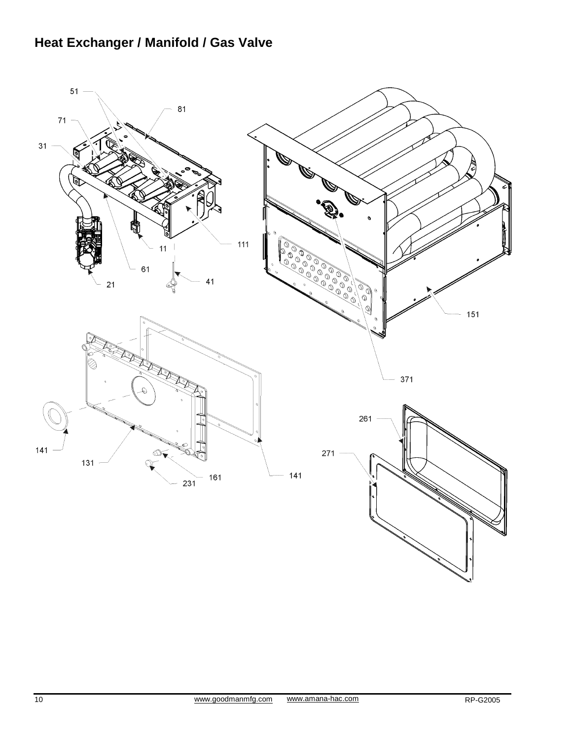# **Heat Exchanger / Manifold / Gas Valve**